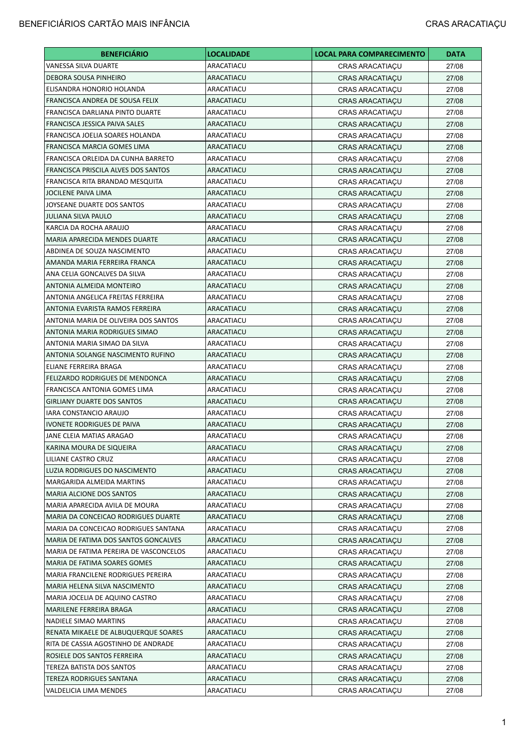| <b>BENEFICIÁRIO</b>                    | <b>LOCALIDADE</b> | <b>LOCAL PARA COMPARECIMENTO</b> | <b>DATA</b> |
|----------------------------------------|-------------------|----------------------------------|-------------|
| VANESSA SILVA DUARTE                   | ARACATIACU        | <b>CRAS ARACATIAÇU</b>           | 27/08       |
| <b>DEBORA SOUSA PINHEIRO</b>           | ARACATIACU        | <b>CRAS ARACATIACU</b>           | 27/08       |
| ELISANDRA HONORIO HOLANDA              | ARACATIACU        | <b>CRAS ARACATIAÇU</b>           | 27/08       |
| FRANCISCA ANDREA DE SOUSA FELIX        | ARACATIACU        | <b>CRAS ARACATIAÇU</b>           | 27/08       |
| FRANCISCA DARLIANA PINTO DUARTE        | ARACATIACU        | <b>CRAS ARACATIAÇU</b>           | 27/08       |
| FRANCISCA JESSICA PAIVA SALES          | ARACATIACU        | CRAS ARACATIAÇU                  | 27/08       |
| FRANCISCA JOELIA SOARES HOLANDA        | ARACATIACU        | <b>CRAS ARACATIAÇU</b>           | 27/08       |
| FRANCISCA MARCIA GOMES LIMA            | ARACATIACU        | <b>CRAS ARACATIACU</b>           | 27/08       |
| FRANCISCA ORLEIDA DA CUNHA BARRETO     | ARACATIACU        | <b>CRAS ARACATIACU</b>           | 27/08       |
| FRANCISCA PRISCILA ALVES DOS SANTOS    | ARACATIACU        | <b>CRAS ARACATIACU</b>           | 27/08       |
| FRANCISCA RITA BRANDAO MESQUITA        | ARACATIACU        | <b>CRAS ARACATIAÇU</b>           | 27/08       |
| JOCILENE PAIVA LIMA                    | ARACATIACU        | <b>CRAS ARACATIAÇU</b>           | 27/08       |
| JOYSEANE DUARTE DOS SANTOS             | ARACATIACU        | <b>CRAS ARACATIAÇU</b>           | 27/08       |
| <b>JULIANA SILVA PAULO</b>             | ARACATIACU        | <b>CRAS ARACATIAÇU</b>           | 27/08       |
| KARCIA DA ROCHA ARAUJO                 | ARACATIACU        | <b>CRAS ARACATIACU</b>           | 27/08       |
| MARIA APARECIDA MENDES DUARTE          | ARACATIACU        | <b>CRAS ARACATIAÇU</b>           | 27/08       |
| ABDINEA DE SOUZA NASCIMENTO            | ARACATIACU        | <b>CRAS ARACATIAÇU</b>           | 27/08       |
| AMANDA MARIA FERREIRA FRANCA           | ARACATIACU        | <b>CRAS ARACATIAÇU</b>           | 27/08       |
| ANA CELIA GONCALVES DA SILVA           | ARACATIACU        | <b>CRAS ARACATIAÇU</b>           | 27/08       |
| ANTONIA ALMEIDA MONTEIRO               | ARACATIACU        | <b>CRAS ARACATIAÇU</b>           | 27/08       |
| ANTONIA ANGELICA FREITAS FERREIRA      | ARACATIACU        | <b>CRAS ARACATIACU</b>           | 27/08       |
| ANTONIA EVARISTA RAMOS FERREIRA        | ARACATIACU        | <b>CRAS ARACATIAÇU</b>           | 27/08       |
| ANTONIA MARIA DE OLIVEIRA DOS SANTOS   | ARACATIACU        | <b>CRAS ARACATIAÇU</b>           | 27/08       |
| <b>ANTONIA MARIA RODRIGUES SIMAO</b>   | ARACATIACU        | <b>CRAS ARACATIAÇU</b>           | 27/08       |
| ANTONIA MARIA SIMAO DA SILVA           | ARACATIACU        | <b>CRAS ARACATIAÇU</b>           | 27/08       |
| ANTONIA SOLANGE NASCIMENTO RUFINO      | ARACATIACU        | <b>CRAS ARACATIAÇU</b>           | 27/08       |
| ELIANE FERREIRA BRAGA                  | ARACATIACU        | CRAS ARACATIAÇU                  | 27/08       |
| <b>FELIZARDO RODRIGUES DE MENDONCA</b> | ARACATIACU        | <b>CRAS ARACATIAÇU</b>           | 27/08       |
| FRANCISCA ANTONIA GOMES LIMA           | ARACATIACU        | <b>CRAS ARACATIAÇU</b>           | 27/08       |
| <b>GIRLIANY DUARTE DOS SANTOS</b>      | ARACATIACU        | <b>CRAS ARACATIACU</b>           | 27/08       |
| IARA CONSTANCIO ARAUJO                 | ARACATIACU        | <b>CRAS ARACATIAÇU</b>           | 27/08       |
| <b>IVONETE RODRIGUES DE PAIVA</b>      | ARACATIACU        | <b>CRAS ARACATIAÇU</b>           | 27/08       |
| JANE CLEIA MATIAS ARAGAO               | ARACATIACU        | <b>CRAS ARACATIAÇU</b>           | 27/08       |
| KARINA MOURA DE SIQUEIRA               | ARACATIACU        | <b>CRAS ARACATIACU</b>           | 27/08       |
| LILIANE CASTRO CRUZ                    | ARACATIACU        | <b>CRAS ARACATIAÇU</b>           | 27/08       |
| LUZIA RODRIGUES DO NASCIMENTO          | ARACATIACU        | <b>CRAS ARACATIAÇU</b>           | 27/08       |
| MARGARIDA ALMEIDA MARTINS              | ARACATIACU        | <b>CRAS ARACATIACU</b>           | 27/08       |
| <b>MARIA ALCIONE DOS SANTOS</b>        | ARACATIACU        | <b>CRAS ARACATIAÇU</b>           | 27/08       |
| MARIA APARECIDA AVILA DE MOURA         | ARACATIACU        | CRAS ARACATIAÇU                  | 27/08       |
| MARIA DA CONCEICAO RODRIGUES DUARTE    | ARACATIACU        | <b>CRAS ARACATIAÇU</b>           | 27/08       |
| MARIA DA CONCEICAO RODRIGUES SANTANA   | ARACATIACU        | <b>CRAS ARACATIAÇU</b>           | 27/08       |
| MARIA DE FATIMA DOS SANTOS GONCALVES   | ARACATIACU        | <b>CRAS ARACATIACU</b>           | 27/08       |
| MARIA DE FATIMA PEREIRA DE VASCONCELOS | ARACATIACU        | <b>CRAS ARACATIACU</b>           | 27/08       |
| MARIA DE FATIMA SOARES GOMES           | ARACATIACU        | <b>CRAS ARACATIAÇU</b>           | 27/08       |
| MARIA FRANCILENE RODRIGUES PEREIRA     | ARACATIACU        | <b>CRAS ARACATIAÇU</b>           | 27/08       |
| MARIA HELENA SILVA NASCIMENTO          | ARACATIACU        | <b>CRAS ARACATIAÇU</b>           | 27/08       |
| MARIA JOCELIA DE AQUINO CASTRO         | ARACATIACU        | <b>CRAS ARACATIAÇU</b>           | 27/08       |
| MARILENE FERREIRA BRAGA                | ARACATIACU        | <b>CRAS ARACATIAÇU</b>           | 27/08       |
| NADIELE SIMAO MARTINS                  | ARACATIACU        | <b>CRAS ARACATIACU</b>           | 27/08       |
| RENATA MIKAELE DE ALBUQUERQUE SOARES   | ARACATIACU        | <b>CRAS ARACATIAÇU</b>           | 27/08       |
| RITA DE CASSIA AGOSTINHO DE ANDRADE    | ARACATIACU        | <b>CRAS ARACATIAÇU</b>           | 27/08       |
| ROSIELE DOS SANTOS FERREIRA            | ARACATIACU        | <b>CRAS ARACATIAÇU</b>           | 27/08       |
| TEREZA BATISTA DOS SANTOS              | ARACATIACU        | <b>CRAS ARACATIAÇU</b>           | 27/08       |
| TEREZA RODRIGUES SANTANA               | ARACATIACU        | <b>CRAS ARACATIAÇU</b>           | 27/08       |
| VALDELICIA LIMA MENDES                 | ARACATIACU        | <b>CRAS ARACATIAÇU</b>           | 27/08       |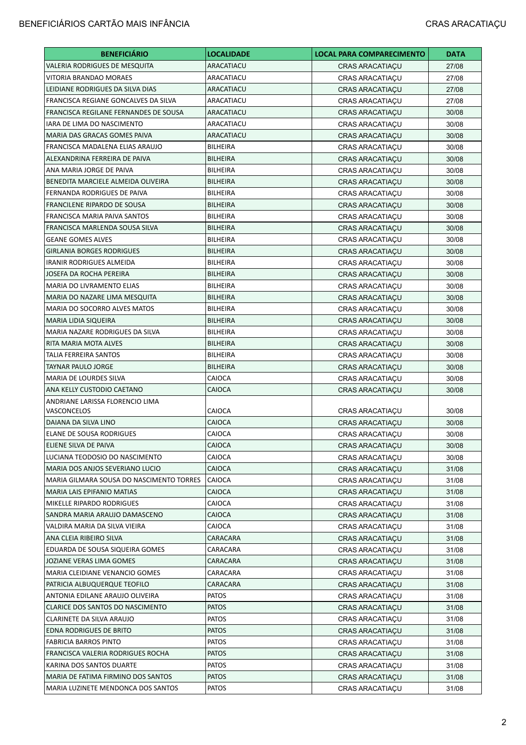| <b>VALERIA RODRIGUES DE MESQUITA</b><br>ARACATIACU<br>27/08<br><b>CRAS ARACATIAÇU</b><br>VITORIA BRANDAO MORAES<br>ARACATIACU<br>CRAS ARACATIAÇU<br>27/08<br>LEIDIANE RODRIGUES DA SILVA DIAS<br>ARACATIACU<br><b>CRAS ARACATIAÇU</b><br>27/08<br>FRANCISCA REGIANE GONCALVES DA SILVA<br>ARACATIACU<br>CRAS ARACATIAÇU<br>27/08<br>FRANCISCA REGILANE FERNANDES DE SOUSA<br>30/08<br>ARACATIACU<br>CRAS ARACATIAÇU<br>IARA DE LIMA DO NASCIMENTO<br>ARACATIACU<br><b>CRAS ARACATIAÇU</b><br>30/08<br>MARIA DAS GRACAS GOMES PAIVA<br>ARACATIACU<br><b>CRAS ARACATIAÇU</b><br>30/08<br>FRANCISCA MADALENA ELIAS ARAUJO<br><b>BILHEIRA</b><br><b>CRAS ARACATIACU</b><br>30/08<br>ALEXANDRINA FERREIRA DE PAIVA<br><b>BILHEIRA</b><br><b>CRAS ARACATIAÇU</b><br>30/08<br><b>BILHEIRA</b><br>ANA MARIA JORGE DE PAIVA<br><b>CRAS ARACATIAÇU</b><br>30/08<br><b>BILHEIRA</b><br>30/08<br>BENEDITA MARCIELE ALMEIDA OLIVEIRA<br><b>CRAS ARACATIAÇU</b><br>FERNANDA RODRIGUES DE PAIVA<br><b>BILHEIRA</b><br>30/08<br><b>CRAS ARACATIAÇU</b><br><b>FRANCILENE RIPARDO DE SOUSA</b><br><b>BILHEIRA</b><br><b>CRAS ARACATIAÇU</b><br>30/08<br>FRANCISCA MARIA PAIVA SANTOS<br><b>BILHEIRA</b><br><b>CRAS ARACATIAÇU</b><br>30/08<br>FRANCISCA MARLENDA SOUSA SILVA<br><b>BILHEIRA</b><br><b>CRAS ARACATIAÇU</b><br>30/08<br><b>GEANE GOMES ALVES</b><br>BILHEIRA<br>CRAS ARACATIAÇU<br>30/08<br><b>GIRLANIA BORGES RODRIGUES</b><br><b>BILHEIRA</b><br><b>CRAS ARACATIAÇU</b><br>30/08<br><b>IRANIR RODRIGUES ALMEIDA</b><br><b>BILHEIRA</b><br>CRAS ARACATIAÇU<br>30/08<br><b>JOSEFA DA ROCHA PEREIRA</b><br><b>BILHEIRA</b><br><b>CRAS ARACATIACU</b><br>30/08<br>MARIA DO LIVRAMENTO ELIAS<br><b>CRAS ARACATIAÇU</b><br><b>BILHEIRA</b><br>30/08<br>MARIA DO NAZARE LIMA MESQUITA<br><b>BILHEIRA</b><br><b>CRAS ARACATIAÇU</b><br>30/08<br>MARIA DO SOCORRO ALVES MATOS<br>BILHEIRA<br>30/08<br><b>CRAS ARACATIAÇU</b><br><b>MARIA LIDIA SIQUEIRA</b><br><b>BILHEIRA</b><br><b>CRAS ARACATIAÇU</b><br>30/08<br>MARIA NAZARE RODRIGUES DA SILVA<br><b>BILHEIRA</b><br><b>CRAS ARACATIAÇU</b><br>30/08<br>RITA MARIA MOTA ALVES<br><b>BILHEIRA</b><br><b>CRAS ARACATIAÇU</b><br>30/08<br>TALIA FERREIRA SANTOS<br>30/08<br><b>BILHEIRA</b><br><b>CRAS ARACATIAÇU</b><br>TAYNAR PAULO JORGE<br>BILHEIRA<br><b>CRAS ARACATIAÇU</b><br>30/08<br>MARIA DE LOURDES SILVA<br>CAIOCA<br><b>CRAS ARACATIAÇU</b><br>30/08<br>ANA KELLY CUSTODIO CAETANO<br>CAIOCA<br>CRAS ARACATIAÇU<br>30/08<br>ANDRIANE LARISSA FLORENCIO LIMA<br>VASCONCELOS<br>CAIOCA<br><b>CRAS ARACATIACU</b><br>30/08<br>DAIANA DA SILVA LINO<br>CAIOCA<br><b>CRAS ARACATIAÇU</b><br>30/08<br><b>ELANE DE SOUSA RODRIGUES</b><br>CAIOCA<br><b>CRAS ARACATIAÇU</b><br>30/08<br>CAIOCA<br>ELIENE SILVA DE PAIVA<br><b>CRAS ARACATIAÇU</b><br>30/08<br>LUCIANA TEODOSIO DO NASCIMENTO<br>CAIOCA<br>30/08<br>CRAS ARACATIAÇU<br>MARIA DOS ANJOS SEVERIANO LUCIO<br>CAIOCA<br>31/08<br>CRAS ARACATIAÇU<br><b>MARIA GILMARA SOUSA DO NASCIMENTO TORRES</b><br>CAIOCA<br>31/08<br>CRAS ARACATIAÇU<br><b>MARIA LAIS EPIFANIO MATIAS</b><br>CAIOCA<br><b>CRAS ARACATIACU</b><br>31/08<br>MIKELLE RIPARDO RODRIGUES<br>CAIOCA<br><b>CRAS ARACATIACU</b><br>31/08<br>SANDRA MARIA ARAUJO DAMASCENO<br>CAIOCA<br><b>CRAS ARACATIAÇU</b><br>31/08<br>CAIOCA<br>VALDIRA MARIA DA SILVA VIEIRA<br>31/08<br>CRAS ARACATIAÇU<br>ANA CLEIA RIBEIRO SILVA<br>CARACARA<br><b>CRAS ARACATIAÇU</b><br>31/08<br>EDUARDA DE SOUSA SIQUEIRA GOMES<br>CARACARA<br>31/08<br>CRAS ARACATIAÇU<br>JOZIANE VERAS LIMA GOMES<br>CARACARA<br><b>CRAS ARACATIACU</b><br>31/08<br>MARIA CLEIDIANE VENANCIO GOMES<br>CARACARA<br>31/08<br><b>CRAS ARACATIACU</b><br>PATRICIA ALBUQUERQUE TEOFILO<br>CARACARA<br><b>CRAS ARACATIAÇU</b><br>31/08<br>ANTONIA EDILANE ARAUJO OLIVEIRA<br>PATOS<br>31/08<br>CRAS ARACATIAÇU<br>CLARICE DOS SANTOS DO NASCIMENTO<br><b>PATOS</b><br>CRAS ARACATIAÇU<br>31/08<br>CLARINETE DA SILVA ARAUJO<br><b>PATOS</b><br><b>CRAS ARACATIACU</b><br>31/08<br>EDNA RODRIGUES DE BRITO<br><b>PATOS</b><br><b>CRAS ARACATIAÇU</b><br>31/08<br><b>FABRICIA BARROS PINTO</b><br><b>PATOS</b><br>31/08<br>CRAS ARACATIAÇU<br>PATOS<br>FRANCISCA VALERIA RODRIGUES ROCHA<br>CRAS ARACATIAÇU<br>31/08<br>KARINA DOS SANTOS DUARTE<br><b>PATOS</b><br>31/08<br><b>CRAS ARACATIACU</b><br><b>PATOS</b><br>MARIA DE FATIMA FIRMINO DOS SANTOS<br>31/08<br>CRAS ARACATIAÇU<br>MARIA LUZINETE MENDONCA DOS SANTOS<br><b>PATOS</b><br>31/08<br>CRAS ARACATIAÇU | <b>BENEFICIÁRIO</b> | <b>LOCALIDADE</b> | <b>LOCAL PARA COMPARECIMENTO</b> | <b>DATA</b> |
|---------------------------------------------------------------------------------------------------------------------------------------------------------------------------------------------------------------------------------------------------------------------------------------------------------------------------------------------------------------------------------------------------------------------------------------------------------------------------------------------------------------------------------------------------------------------------------------------------------------------------------------------------------------------------------------------------------------------------------------------------------------------------------------------------------------------------------------------------------------------------------------------------------------------------------------------------------------------------------------------------------------------------------------------------------------------------------------------------------------------------------------------------------------------------------------------------------------------------------------------------------------------------------------------------------------------------------------------------------------------------------------------------------------------------------------------------------------------------------------------------------------------------------------------------------------------------------------------------------------------------------------------------------------------------------------------------------------------------------------------------------------------------------------------------------------------------------------------------------------------------------------------------------------------------------------------------------------------------------------------------------------------------------------------------------------------------------------------------------------------------------------------------------------------------------------------------------------------------------------------------------------------------------------------------------------------------------------------------------------------------------------------------------------------------------------------------------------------------------------------------------------------------------------------------------------------------------------------------------------------------------------------------------------------------------------------------------------------------------------------------------------------------------------------------------------------------------------------------------------------------------------------------------------------------------------------------------------------------------------------------------------------------------------------------------------------------------------------------------------------------------------------------------------------------------------------------------------------------------------------------------------------------------------------------------------------------------------------------------------------------------------------------------------------------------------------------------------------------------------------------------------------------------------------------------------------------------------------------------------------------------------------------------------------------------------------------------------------------------------------------------------------------------------------------------------------------------------------------------------------------------------------------------------------------------------------------------------------------------------------------------------------------------------------------------------------------------------------------------------------------------------------------------------------------------------------------------------------------------------------------------------------------------------------------------------------------------------------------------------------------------------------------------------------------------------------------------------------------------------------------|---------------------|-------------------|----------------------------------|-------------|
|                                                                                                                                                                                                                                                                                                                                                                                                                                                                                                                                                                                                                                                                                                                                                                                                                                                                                                                                                                                                                                                                                                                                                                                                                                                                                                                                                                                                                                                                                                                                                                                                                                                                                                                                                                                                                                                                                                                                                                                                                                                                                                                                                                                                                                                                                                                                                                                                                                                                                                                                                                                                                                                                                                                                                                                                                                                                                                                                                                                                                                                                                                                                                                                                                                                                                                                                                                                                                                                                                                                                                                                                                                                                                                                                                                                                                                                                                                                                                                                                                                                                                                                                                                                                                                                                                                                                                                                                                                                                                                   |                     |                   |                                  |             |
|                                                                                                                                                                                                                                                                                                                                                                                                                                                                                                                                                                                                                                                                                                                                                                                                                                                                                                                                                                                                                                                                                                                                                                                                                                                                                                                                                                                                                                                                                                                                                                                                                                                                                                                                                                                                                                                                                                                                                                                                                                                                                                                                                                                                                                                                                                                                                                                                                                                                                                                                                                                                                                                                                                                                                                                                                                                                                                                                                                                                                                                                                                                                                                                                                                                                                                                                                                                                                                                                                                                                                                                                                                                                                                                                                                                                                                                                                                                                                                                                                                                                                                                                                                                                                                                                                                                                                                                                                                                                                                   |                     |                   |                                  |             |
|                                                                                                                                                                                                                                                                                                                                                                                                                                                                                                                                                                                                                                                                                                                                                                                                                                                                                                                                                                                                                                                                                                                                                                                                                                                                                                                                                                                                                                                                                                                                                                                                                                                                                                                                                                                                                                                                                                                                                                                                                                                                                                                                                                                                                                                                                                                                                                                                                                                                                                                                                                                                                                                                                                                                                                                                                                                                                                                                                                                                                                                                                                                                                                                                                                                                                                                                                                                                                                                                                                                                                                                                                                                                                                                                                                                                                                                                                                                                                                                                                                                                                                                                                                                                                                                                                                                                                                                                                                                                                                   |                     |                   |                                  |             |
|                                                                                                                                                                                                                                                                                                                                                                                                                                                                                                                                                                                                                                                                                                                                                                                                                                                                                                                                                                                                                                                                                                                                                                                                                                                                                                                                                                                                                                                                                                                                                                                                                                                                                                                                                                                                                                                                                                                                                                                                                                                                                                                                                                                                                                                                                                                                                                                                                                                                                                                                                                                                                                                                                                                                                                                                                                                                                                                                                                                                                                                                                                                                                                                                                                                                                                                                                                                                                                                                                                                                                                                                                                                                                                                                                                                                                                                                                                                                                                                                                                                                                                                                                                                                                                                                                                                                                                                                                                                                                                   |                     |                   |                                  |             |
|                                                                                                                                                                                                                                                                                                                                                                                                                                                                                                                                                                                                                                                                                                                                                                                                                                                                                                                                                                                                                                                                                                                                                                                                                                                                                                                                                                                                                                                                                                                                                                                                                                                                                                                                                                                                                                                                                                                                                                                                                                                                                                                                                                                                                                                                                                                                                                                                                                                                                                                                                                                                                                                                                                                                                                                                                                                                                                                                                                                                                                                                                                                                                                                                                                                                                                                                                                                                                                                                                                                                                                                                                                                                                                                                                                                                                                                                                                                                                                                                                                                                                                                                                                                                                                                                                                                                                                                                                                                                                                   |                     |                   |                                  |             |
|                                                                                                                                                                                                                                                                                                                                                                                                                                                                                                                                                                                                                                                                                                                                                                                                                                                                                                                                                                                                                                                                                                                                                                                                                                                                                                                                                                                                                                                                                                                                                                                                                                                                                                                                                                                                                                                                                                                                                                                                                                                                                                                                                                                                                                                                                                                                                                                                                                                                                                                                                                                                                                                                                                                                                                                                                                                                                                                                                                                                                                                                                                                                                                                                                                                                                                                                                                                                                                                                                                                                                                                                                                                                                                                                                                                                                                                                                                                                                                                                                                                                                                                                                                                                                                                                                                                                                                                                                                                                                                   |                     |                   |                                  |             |
|                                                                                                                                                                                                                                                                                                                                                                                                                                                                                                                                                                                                                                                                                                                                                                                                                                                                                                                                                                                                                                                                                                                                                                                                                                                                                                                                                                                                                                                                                                                                                                                                                                                                                                                                                                                                                                                                                                                                                                                                                                                                                                                                                                                                                                                                                                                                                                                                                                                                                                                                                                                                                                                                                                                                                                                                                                                                                                                                                                                                                                                                                                                                                                                                                                                                                                                                                                                                                                                                                                                                                                                                                                                                                                                                                                                                                                                                                                                                                                                                                                                                                                                                                                                                                                                                                                                                                                                                                                                                                                   |                     |                   |                                  |             |
|                                                                                                                                                                                                                                                                                                                                                                                                                                                                                                                                                                                                                                                                                                                                                                                                                                                                                                                                                                                                                                                                                                                                                                                                                                                                                                                                                                                                                                                                                                                                                                                                                                                                                                                                                                                                                                                                                                                                                                                                                                                                                                                                                                                                                                                                                                                                                                                                                                                                                                                                                                                                                                                                                                                                                                                                                                                                                                                                                                                                                                                                                                                                                                                                                                                                                                                                                                                                                                                                                                                                                                                                                                                                                                                                                                                                                                                                                                                                                                                                                                                                                                                                                                                                                                                                                                                                                                                                                                                                                                   |                     |                   |                                  |             |
|                                                                                                                                                                                                                                                                                                                                                                                                                                                                                                                                                                                                                                                                                                                                                                                                                                                                                                                                                                                                                                                                                                                                                                                                                                                                                                                                                                                                                                                                                                                                                                                                                                                                                                                                                                                                                                                                                                                                                                                                                                                                                                                                                                                                                                                                                                                                                                                                                                                                                                                                                                                                                                                                                                                                                                                                                                                                                                                                                                                                                                                                                                                                                                                                                                                                                                                                                                                                                                                                                                                                                                                                                                                                                                                                                                                                                                                                                                                                                                                                                                                                                                                                                                                                                                                                                                                                                                                                                                                                                                   |                     |                   |                                  |             |
|                                                                                                                                                                                                                                                                                                                                                                                                                                                                                                                                                                                                                                                                                                                                                                                                                                                                                                                                                                                                                                                                                                                                                                                                                                                                                                                                                                                                                                                                                                                                                                                                                                                                                                                                                                                                                                                                                                                                                                                                                                                                                                                                                                                                                                                                                                                                                                                                                                                                                                                                                                                                                                                                                                                                                                                                                                                                                                                                                                                                                                                                                                                                                                                                                                                                                                                                                                                                                                                                                                                                                                                                                                                                                                                                                                                                                                                                                                                                                                                                                                                                                                                                                                                                                                                                                                                                                                                                                                                                                                   |                     |                   |                                  |             |
|                                                                                                                                                                                                                                                                                                                                                                                                                                                                                                                                                                                                                                                                                                                                                                                                                                                                                                                                                                                                                                                                                                                                                                                                                                                                                                                                                                                                                                                                                                                                                                                                                                                                                                                                                                                                                                                                                                                                                                                                                                                                                                                                                                                                                                                                                                                                                                                                                                                                                                                                                                                                                                                                                                                                                                                                                                                                                                                                                                                                                                                                                                                                                                                                                                                                                                                                                                                                                                                                                                                                                                                                                                                                                                                                                                                                                                                                                                                                                                                                                                                                                                                                                                                                                                                                                                                                                                                                                                                                                                   |                     |                   |                                  |             |
|                                                                                                                                                                                                                                                                                                                                                                                                                                                                                                                                                                                                                                                                                                                                                                                                                                                                                                                                                                                                                                                                                                                                                                                                                                                                                                                                                                                                                                                                                                                                                                                                                                                                                                                                                                                                                                                                                                                                                                                                                                                                                                                                                                                                                                                                                                                                                                                                                                                                                                                                                                                                                                                                                                                                                                                                                                                                                                                                                                                                                                                                                                                                                                                                                                                                                                                                                                                                                                                                                                                                                                                                                                                                                                                                                                                                                                                                                                                                                                                                                                                                                                                                                                                                                                                                                                                                                                                                                                                                                                   |                     |                   |                                  |             |
|                                                                                                                                                                                                                                                                                                                                                                                                                                                                                                                                                                                                                                                                                                                                                                                                                                                                                                                                                                                                                                                                                                                                                                                                                                                                                                                                                                                                                                                                                                                                                                                                                                                                                                                                                                                                                                                                                                                                                                                                                                                                                                                                                                                                                                                                                                                                                                                                                                                                                                                                                                                                                                                                                                                                                                                                                                                                                                                                                                                                                                                                                                                                                                                                                                                                                                                                                                                                                                                                                                                                                                                                                                                                                                                                                                                                                                                                                                                                                                                                                                                                                                                                                                                                                                                                                                                                                                                                                                                                                                   |                     |                   |                                  |             |
|                                                                                                                                                                                                                                                                                                                                                                                                                                                                                                                                                                                                                                                                                                                                                                                                                                                                                                                                                                                                                                                                                                                                                                                                                                                                                                                                                                                                                                                                                                                                                                                                                                                                                                                                                                                                                                                                                                                                                                                                                                                                                                                                                                                                                                                                                                                                                                                                                                                                                                                                                                                                                                                                                                                                                                                                                                                                                                                                                                                                                                                                                                                                                                                                                                                                                                                                                                                                                                                                                                                                                                                                                                                                                                                                                                                                                                                                                                                                                                                                                                                                                                                                                                                                                                                                                                                                                                                                                                                                                                   |                     |                   |                                  |             |
|                                                                                                                                                                                                                                                                                                                                                                                                                                                                                                                                                                                                                                                                                                                                                                                                                                                                                                                                                                                                                                                                                                                                                                                                                                                                                                                                                                                                                                                                                                                                                                                                                                                                                                                                                                                                                                                                                                                                                                                                                                                                                                                                                                                                                                                                                                                                                                                                                                                                                                                                                                                                                                                                                                                                                                                                                                                                                                                                                                                                                                                                                                                                                                                                                                                                                                                                                                                                                                                                                                                                                                                                                                                                                                                                                                                                                                                                                                                                                                                                                                                                                                                                                                                                                                                                                                                                                                                                                                                                                                   |                     |                   |                                  |             |
|                                                                                                                                                                                                                                                                                                                                                                                                                                                                                                                                                                                                                                                                                                                                                                                                                                                                                                                                                                                                                                                                                                                                                                                                                                                                                                                                                                                                                                                                                                                                                                                                                                                                                                                                                                                                                                                                                                                                                                                                                                                                                                                                                                                                                                                                                                                                                                                                                                                                                                                                                                                                                                                                                                                                                                                                                                                                                                                                                                                                                                                                                                                                                                                                                                                                                                                                                                                                                                                                                                                                                                                                                                                                                                                                                                                                                                                                                                                                                                                                                                                                                                                                                                                                                                                                                                                                                                                                                                                                                                   |                     |                   |                                  |             |
|                                                                                                                                                                                                                                                                                                                                                                                                                                                                                                                                                                                                                                                                                                                                                                                                                                                                                                                                                                                                                                                                                                                                                                                                                                                                                                                                                                                                                                                                                                                                                                                                                                                                                                                                                                                                                                                                                                                                                                                                                                                                                                                                                                                                                                                                                                                                                                                                                                                                                                                                                                                                                                                                                                                                                                                                                                                                                                                                                                                                                                                                                                                                                                                                                                                                                                                                                                                                                                                                                                                                                                                                                                                                                                                                                                                                                                                                                                                                                                                                                                                                                                                                                                                                                                                                                                                                                                                                                                                                                                   |                     |                   |                                  |             |
|                                                                                                                                                                                                                                                                                                                                                                                                                                                                                                                                                                                                                                                                                                                                                                                                                                                                                                                                                                                                                                                                                                                                                                                                                                                                                                                                                                                                                                                                                                                                                                                                                                                                                                                                                                                                                                                                                                                                                                                                                                                                                                                                                                                                                                                                                                                                                                                                                                                                                                                                                                                                                                                                                                                                                                                                                                                                                                                                                                                                                                                                                                                                                                                                                                                                                                                                                                                                                                                                                                                                                                                                                                                                                                                                                                                                                                                                                                                                                                                                                                                                                                                                                                                                                                                                                                                                                                                                                                                                                                   |                     |                   |                                  |             |
|                                                                                                                                                                                                                                                                                                                                                                                                                                                                                                                                                                                                                                                                                                                                                                                                                                                                                                                                                                                                                                                                                                                                                                                                                                                                                                                                                                                                                                                                                                                                                                                                                                                                                                                                                                                                                                                                                                                                                                                                                                                                                                                                                                                                                                                                                                                                                                                                                                                                                                                                                                                                                                                                                                                                                                                                                                                                                                                                                                                                                                                                                                                                                                                                                                                                                                                                                                                                                                                                                                                                                                                                                                                                                                                                                                                                                                                                                                                                                                                                                                                                                                                                                                                                                                                                                                                                                                                                                                                                                                   |                     |                   |                                  |             |
|                                                                                                                                                                                                                                                                                                                                                                                                                                                                                                                                                                                                                                                                                                                                                                                                                                                                                                                                                                                                                                                                                                                                                                                                                                                                                                                                                                                                                                                                                                                                                                                                                                                                                                                                                                                                                                                                                                                                                                                                                                                                                                                                                                                                                                                                                                                                                                                                                                                                                                                                                                                                                                                                                                                                                                                                                                                                                                                                                                                                                                                                                                                                                                                                                                                                                                                                                                                                                                                                                                                                                                                                                                                                                                                                                                                                                                                                                                                                                                                                                                                                                                                                                                                                                                                                                                                                                                                                                                                                                                   |                     |                   |                                  |             |
|                                                                                                                                                                                                                                                                                                                                                                                                                                                                                                                                                                                                                                                                                                                                                                                                                                                                                                                                                                                                                                                                                                                                                                                                                                                                                                                                                                                                                                                                                                                                                                                                                                                                                                                                                                                                                                                                                                                                                                                                                                                                                                                                                                                                                                                                                                                                                                                                                                                                                                                                                                                                                                                                                                                                                                                                                                                                                                                                                                                                                                                                                                                                                                                                                                                                                                                                                                                                                                                                                                                                                                                                                                                                                                                                                                                                                                                                                                                                                                                                                                                                                                                                                                                                                                                                                                                                                                                                                                                                                                   |                     |                   |                                  |             |
|                                                                                                                                                                                                                                                                                                                                                                                                                                                                                                                                                                                                                                                                                                                                                                                                                                                                                                                                                                                                                                                                                                                                                                                                                                                                                                                                                                                                                                                                                                                                                                                                                                                                                                                                                                                                                                                                                                                                                                                                                                                                                                                                                                                                                                                                                                                                                                                                                                                                                                                                                                                                                                                                                                                                                                                                                                                                                                                                                                                                                                                                                                                                                                                                                                                                                                                                                                                                                                                                                                                                                                                                                                                                                                                                                                                                                                                                                                                                                                                                                                                                                                                                                                                                                                                                                                                                                                                                                                                                                                   |                     |                   |                                  |             |
|                                                                                                                                                                                                                                                                                                                                                                                                                                                                                                                                                                                                                                                                                                                                                                                                                                                                                                                                                                                                                                                                                                                                                                                                                                                                                                                                                                                                                                                                                                                                                                                                                                                                                                                                                                                                                                                                                                                                                                                                                                                                                                                                                                                                                                                                                                                                                                                                                                                                                                                                                                                                                                                                                                                                                                                                                                                                                                                                                                                                                                                                                                                                                                                                                                                                                                                                                                                                                                                                                                                                                                                                                                                                                                                                                                                                                                                                                                                                                                                                                                                                                                                                                                                                                                                                                                                                                                                                                                                                                                   |                     |                   |                                  |             |
|                                                                                                                                                                                                                                                                                                                                                                                                                                                                                                                                                                                                                                                                                                                                                                                                                                                                                                                                                                                                                                                                                                                                                                                                                                                                                                                                                                                                                                                                                                                                                                                                                                                                                                                                                                                                                                                                                                                                                                                                                                                                                                                                                                                                                                                                                                                                                                                                                                                                                                                                                                                                                                                                                                                                                                                                                                                                                                                                                                                                                                                                                                                                                                                                                                                                                                                                                                                                                                                                                                                                                                                                                                                                                                                                                                                                                                                                                                                                                                                                                                                                                                                                                                                                                                                                                                                                                                                                                                                                                                   |                     |                   |                                  |             |
|                                                                                                                                                                                                                                                                                                                                                                                                                                                                                                                                                                                                                                                                                                                                                                                                                                                                                                                                                                                                                                                                                                                                                                                                                                                                                                                                                                                                                                                                                                                                                                                                                                                                                                                                                                                                                                                                                                                                                                                                                                                                                                                                                                                                                                                                                                                                                                                                                                                                                                                                                                                                                                                                                                                                                                                                                                                                                                                                                                                                                                                                                                                                                                                                                                                                                                                                                                                                                                                                                                                                                                                                                                                                                                                                                                                                                                                                                                                                                                                                                                                                                                                                                                                                                                                                                                                                                                                                                                                                                                   |                     |                   |                                  |             |
|                                                                                                                                                                                                                                                                                                                                                                                                                                                                                                                                                                                                                                                                                                                                                                                                                                                                                                                                                                                                                                                                                                                                                                                                                                                                                                                                                                                                                                                                                                                                                                                                                                                                                                                                                                                                                                                                                                                                                                                                                                                                                                                                                                                                                                                                                                                                                                                                                                                                                                                                                                                                                                                                                                                                                                                                                                                                                                                                                                                                                                                                                                                                                                                                                                                                                                                                                                                                                                                                                                                                                                                                                                                                                                                                                                                                                                                                                                                                                                                                                                                                                                                                                                                                                                                                                                                                                                                                                                                                                                   |                     |                   |                                  |             |
|                                                                                                                                                                                                                                                                                                                                                                                                                                                                                                                                                                                                                                                                                                                                                                                                                                                                                                                                                                                                                                                                                                                                                                                                                                                                                                                                                                                                                                                                                                                                                                                                                                                                                                                                                                                                                                                                                                                                                                                                                                                                                                                                                                                                                                                                                                                                                                                                                                                                                                                                                                                                                                                                                                                                                                                                                                                                                                                                                                                                                                                                                                                                                                                                                                                                                                                                                                                                                                                                                                                                                                                                                                                                                                                                                                                                                                                                                                                                                                                                                                                                                                                                                                                                                                                                                                                                                                                                                                                                                                   |                     |                   |                                  |             |
|                                                                                                                                                                                                                                                                                                                                                                                                                                                                                                                                                                                                                                                                                                                                                                                                                                                                                                                                                                                                                                                                                                                                                                                                                                                                                                                                                                                                                                                                                                                                                                                                                                                                                                                                                                                                                                                                                                                                                                                                                                                                                                                                                                                                                                                                                                                                                                                                                                                                                                                                                                                                                                                                                                                                                                                                                                                                                                                                                                                                                                                                                                                                                                                                                                                                                                                                                                                                                                                                                                                                                                                                                                                                                                                                                                                                                                                                                                                                                                                                                                                                                                                                                                                                                                                                                                                                                                                                                                                                                                   |                     |                   |                                  |             |
|                                                                                                                                                                                                                                                                                                                                                                                                                                                                                                                                                                                                                                                                                                                                                                                                                                                                                                                                                                                                                                                                                                                                                                                                                                                                                                                                                                                                                                                                                                                                                                                                                                                                                                                                                                                                                                                                                                                                                                                                                                                                                                                                                                                                                                                                                                                                                                                                                                                                                                                                                                                                                                                                                                                                                                                                                                                                                                                                                                                                                                                                                                                                                                                                                                                                                                                                                                                                                                                                                                                                                                                                                                                                                                                                                                                                                                                                                                                                                                                                                                                                                                                                                                                                                                                                                                                                                                                                                                                                                                   |                     |                   |                                  |             |
|                                                                                                                                                                                                                                                                                                                                                                                                                                                                                                                                                                                                                                                                                                                                                                                                                                                                                                                                                                                                                                                                                                                                                                                                                                                                                                                                                                                                                                                                                                                                                                                                                                                                                                                                                                                                                                                                                                                                                                                                                                                                                                                                                                                                                                                                                                                                                                                                                                                                                                                                                                                                                                                                                                                                                                                                                                                                                                                                                                                                                                                                                                                                                                                                                                                                                                                                                                                                                                                                                                                                                                                                                                                                                                                                                                                                                                                                                                                                                                                                                                                                                                                                                                                                                                                                                                                                                                                                                                                                                                   |                     |                   |                                  |             |
|                                                                                                                                                                                                                                                                                                                                                                                                                                                                                                                                                                                                                                                                                                                                                                                                                                                                                                                                                                                                                                                                                                                                                                                                                                                                                                                                                                                                                                                                                                                                                                                                                                                                                                                                                                                                                                                                                                                                                                                                                                                                                                                                                                                                                                                                                                                                                                                                                                                                                                                                                                                                                                                                                                                                                                                                                                                                                                                                                                                                                                                                                                                                                                                                                                                                                                                                                                                                                                                                                                                                                                                                                                                                                                                                                                                                                                                                                                                                                                                                                                                                                                                                                                                                                                                                                                                                                                                                                                                                                                   |                     |                   |                                  |             |
|                                                                                                                                                                                                                                                                                                                                                                                                                                                                                                                                                                                                                                                                                                                                                                                                                                                                                                                                                                                                                                                                                                                                                                                                                                                                                                                                                                                                                                                                                                                                                                                                                                                                                                                                                                                                                                                                                                                                                                                                                                                                                                                                                                                                                                                                                                                                                                                                                                                                                                                                                                                                                                                                                                                                                                                                                                                                                                                                                                                                                                                                                                                                                                                                                                                                                                                                                                                                                                                                                                                                                                                                                                                                                                                                                                                                                                                                                                                                                                                                                                                                                                                                                                                                                                                                                                                                                                                                                                                                                                   |                     |                   |                                  |             |
|                                                                                                                                                                                                                                                                                                                                                                                                                                                                                                                                                                                                                                                                                                                                                                                                                                                                                                                                                                                                                                                                                                                                                                                                                                                                                                                                                                                                                                                                                                                                                                                                                                                                                                                                                                                                                                                                                                                                                                                                                                                                                                                                                                                                                                                                                                                                                                                                                                                                                                                                                                                                                                                                                                                                                                                                                                                                                                                                                                                                                                                                                                                                                                                                                                                                                                                                                                                                                                                                                                                                                                                                                                                                                                                                                                                                                                                                                                                                                                                                                                                                                                                                                                                                                                                                                                                                                                                                                                                                                                   |                     |                   |                                  |             |
|                                                                                                                                                                                                                                                                                                                                                                                                                                                                                                                                                                                                                                                                                                                                                                                                                                                                                                                                                                                                                                                                                                                                                                                                                                                                                                                                                                                                                                                                                                                                                                                                                                                                                                                                                                                                                                                                                                                                                                                                                                                                                                                                                                                                                                                                                                                                                                                                                                                                                                                                                                                                                                                                                                                                                                                                                                                                                                                                                                                                                                                                                                                                                                                                                                                                                                                                                                                                                                                                                                                                                                                                                                                                                                                                                                                                                                                                                                                                                                                                                                                                                                                                                                                                                                                                                                                                                                                                                                                                                                   |                     |                   |                                  |             |
|                                                                                                                                                                                                                                                                                                                                                                                                                                                                                                                                                                                                                                                                                                                                                                                                                                                                                                                                                                                                                                                                                                                                                                                                                                                                                                                                                                                                                                                                                                                                                                                                                                                                                                                                                                                                                                                                                                                                                                                                                                                                                                                                                                                                                                                                                                                                                                                                                                                                                                                                                                                                                                                                                                                                                                                                                                                                                                                                                                                                                                                                                                                                                                                                                                                                                                                                                                                                                                                                                                                                                                                                                                                                                                                                                                                                                                                                                                                                                                                                                                                                                                                                                                                                                                                                                                                                                                                                                                                                                                   |                     |                   |                                  |             |
|                                                                                                                                                                                                                                                                                                                                                                                                                                                                                                                                                                                                                                                                                                                                                                                                                                                                                                                                                                                                                                                                                                                                                                                                                                                                                                                                                                                                                                                                                                                                                                                                                                                                                                                                                                                                                                                                                                                                                                                                                                                                                                                                                                                                                                                                                                                                                                                                                                                                                                                                                                                                                                                                                                                                                                                                                                                                                                                                                                                                                                                                                                                                                                                                                                                                                                                                                                                                                                                                                                                                                                                                                                                                                                                                                                                                                                                                                                                                                                                                                                                                                                                                                                                                                                                                                                                                                                                                                                                                                                   |                     |                   |                                  |             |
|                                                                                                                                                                                                                                                                                                                                                                                                                                                                                                                                                                                                                                                                                                                                                                                                                                                                                                                                                                                                                                                                                                                                                                                                                                                                                                                                                                                                                                                                                                                                                                                                                                                                                                                                                                                                                                                                                                                                                                                                                                                                                                                                                                                                                                                                                                                                                                                                                                                                                                                                                                                                                                                                                                                                                                                                                                                                                                                                                                                                                                                                                                                                                                                                                                                                                                                                                                                                                                                                                                                                                                                                                                                                                                                                                                                                                                                                                                                                                                                                                                                                                                                                                                                                                                                                                                                                                                                                                                                                                                   |                     |                   |                                  |             |
|                                                                                                                                                                                                                                                                                                                                                                                                                                                                                                                                                                                                                                                                                                                                                                                                                                                                                                                                                                                                                                                                                                                                                                                                                                                                                                                                                                                                                                                                                                                                                                                                                                                                                                                                                                                                                                                                                                                                                                                                                                                                                                                                                                                                                                                                                                                                                                                                                                                                                                                                                                                                                                                                                                                                                                                                                                                                                                                                                                                                                                                                                                                                                                                                                                                                                                                                                                                                                                                                                                                                                                                                                                                                                                                                                                                                                                                                                                                                                                                                                                                                                                                                                                                                                                                                                                                                                                                                                                                                                                   |                     |                   |                                  |             |
|                                                                                                                                                                                                                                                                                                                                                                                                                                                                                                                                                                                                                                                                                                                                                                                                                                                                                                                                                                                                                                                                                                                                                                                                                                                                                                                                                                                                                                                                                                                                                                                                                                                                                                                                                                                                                                                                                                                                                                                                                                                                                                                                                                                                                                                                                                                                                                                                                                                                                                                                                                                                                                                                                                                                                                                                                                                                                                                                                                                                                                                                                                                                                                                                                                                                                                                                                                                                                                                                                                                                                                                                                                                                                                                                                                                                                                                                                                                                                                                                                                                                                                                                                                                                                                                                                                                                                                                                                                                                                                   |                     |                   |                                  |             |
|                                                                                                                                                                                                                                                                                                                                                                                                                                                                                                                                                                                                                                                                                                                                                                                                                                                                                                                                                                                                                                                                                                                                                                                                                                                                                                                                                                                                                                                                                                                                                                                                                                                                                                                                                                                                                                                                                                                                                                                                                                                                                                                                                                                                                                                                                                                                                                                                                                                                                                                                                                                                                                                                                                                                                                                                                                                                                                                                                                                                                                                                                                                                                                                                                                                                                                                                                                                                                                                                                                                                                                                                                                                                                                                                                                                                                                                                                                                                                                                                                                                                                                                                                                                                                                                                                                                                                                                                                                                                                                   |                     |                   |                                  |             |
|                                                                                                                                                                                                                                                                                                                                                                                                                                                                                                                                                                                                                                                                                                                                                                                                                                                                                                                                                                                                                                                                                                                                                                                                                                                                                                                                                                                                                                                                                                                                                                                                                                                                                                                                                                                                                                                                                                                                                                                                                                                                                                                                                                                                                                                                                                                                                                                                                                                                                                                                                                                                                                                                                                                                                                                                                                                                                                                                                                                                                                                                                                                                                                                                                                                                                                                                                                                                                                                                                                                                                                                                                                                                                                                                                                                                                                                                                                                                                                                                                                                                                                                                                                                                                                                                                                                                                                                                                                                                                                   |                     |                   |                                  |             |
|                                                                                                                                                                                                                                                                                                                                                                                                                                                                                                                                                                                                                                                                                                                                                                                                                                                                                                                                                                                                                                                                                                                                                                                                                                                                                                                                                                                                                                                                                                                                                                                                                                                                                                                                                                                                                                                                                                                                                                                                                                                                                                                                                                                                                                                                                                                                                                                                                                                                                                                                                                                                                                                                                                                                                                                                                                                                                                                                                                                                                                                                                                                                                                                                                                                                                                                                                                                                                                                                                                                                                                                                                                                                                                                                                                                                                                                                                                                                                                                                                                                                                                                                                                                                                                                                                                                                                                                                                                                                                                   |                     |                   |                                  |             |
|                                                                                                                                                                                                                                                                                                                                                                                                                                                                                                                                                                                                                                                                                                                                                                                                                                                                                                                                                                                                                                                                                                                                                                                                                                                                                                                                                                                                                                                                                                                                                                                                                                                                                                                                                                                                                                                                                                                                                                                                                                                                                                                                                                                                                                                                                                                                                                                                                                                                                                                                                                                                                                                                                                                                                                                                                                                                                                                                                                                                                                                                                                                                                                                                                                                                                                                                                                                                                                                                                                                                                                                                                                                                                                                                                                                                                                                                                                                                                                                                                                                                                                                                                                                                                                                                                                                                                                                                                                                                                                   |                     |                   |                                  |             |
|                                                                                                                                                                                                                                                                                                                                                                                                                                                                                                                                                                                                                                                                                                                                                                                                                                                                                                                                                                                                                                                                                                                                                                                                                                                                                                                                                                                                                                                                                                                                                                                                                                                                                                                                                                                                                                                                                                                                                                                                                                                                                                                                                                                                                                                                                                                                                                                                                                                                                                                                                                                                                                                                                                                                                                                                                                                                                                                                                                                                                                                                                                                                                                                                                                                                                                                                                                                                                                                                                                                                                                                                                                                                                                                                                                                                                                                                                                                                                                                                                                                                                                                                                                                                                                                                                                                                                                                                                                                                                                   |                     |                   |                                  |             |
|                                                                                                                                                                                                                                                                                                                                                                                                                                                                                                                                                                                                                                                                                                                                                                                                                                                                                                                                                                                                                                                                                                                                                                                                                                                                                                                                                                                                                                                                                                                                                                                                                                                                                                                                                                                                                                                                                                                                                                                                                                                                                                                                                                                                                                                                                                                                                                                                                                                                                                                                                                                                                                                                                                                                                                                                                                                                                                                                                                                                                                                                                                                                                                                                                                                                                                                                                                                                                                                                                                                                                                                                                                                                                                                                                                                                                                                                                                                                                                                                                                                                                                                                                                                                                                                                                                                                                                                                                                                                                                   |                     |                   |                                  |             |
|                                                                                                                                                                                                                                                                                                                                                                                                                                                                                                                                                                                                                                                                                                                                                                                                                                                                                                                                                                                                                                                                                                                                                                                                                                                                                                                                                                                                                                                                                                                                                                                                                                                                                                                                                                                                                                                                                                                                                                                                                                                                                                                                                                                                                                                                                                                                                                                                                                                                                                                                                                                                                                                                                                                                                                                                                                                                                                                                                                                                                                                                                                                                                                                                                                                                                                                                                                                                                                                                                                                                                                                                                                                                                                                                                                                                                                                                                                                                                                                                                                                                                                                                                                                                                                                                                                                                                                                                                                                                                                   |                     |                   |                                  |             |
|                                                                                                                                                                                                                                                                                                                                                                                                                                                                                                                                                                                                                                                                                                                                                                                                                                                                                                                                                                                                                                                                                                                                                                                                                                                                                                                                                                                                                                                                                                                                                                                                                                                                                                                                                                                                                                                                                                                                                                                                                                                                                                                                                                                                                                                                                                                                                                                                                                                                                                                                                                                                                                                                                                                                                                                                                                                                                                                                                                                                                                                                                                                                                                                                                                                                                                                                                                                                                                                                                                                                                                                                                                                                                                                                                                                                                                                                                                                                                                                                                                                                                                                                                                                                                                                                                                                                                                                                                                                                                                   |                     |                   |                                  |             |
|                                                                                                                                                                                                                                                                                                                                                                                                                                                                                                                                                                                                                                                                                                                                                                                                                                                                                                                                                                                                                                                                                                                                                                                                                                                                                                                                                                                                                                                                                                                                                                                                                                                                                                                                                                                                                                                                                                                                                                                                                                                                                                                                                                                                                                                                                                                                                                                                                                                                                                                                                                                                                                                                                                                                                                                                                                                                                                                                                                                                                                                                                                                                                                                                                                                                                                                                                                                                                                                                                                                                                                                                                                                                                                                                                                                                                                                                                                                                                                                                                                                                                                                                                                                                                                                                                                                                                                                                                                                                                                   |                     |                   |                                  |             |
|                                                                                                                                                                                                                                                                                                                                                                                                                                                                                                                                                                                                                                                                                                                                                                                                                                                                                                                                                                                                                                                                                                                                                                                                                                                                                                                                                                                                                                                                                                                                                                                                                                                                                                                                                                                                                                                                                                                                                                                                                                                                                                                                                                                                                                                                                                                                                                                                                                                                                                                                                                                                                                                                                                                                                                                                                                                                                                                                                                                                                                                                                                                                                                                                                                                                                                                                                                                                                                                                                                                                                                                                                                                                                                                                                                                                                                                                                                                                                                                                                                                                                                                                                                                                                                                                                                                                                                                                                                                                                                   |                     |                   |                                  |             |
|                                                                                                                                                                                                                                                                                                                                                                                                                                                                                                                                                                                                                                                                                                                                                                                                                                                                                                                                                                                                                                                                                                                                                                                                                                                                                                                                                                                                                                                                                                                                                                                                                                                                                                                                                                                                                                                                                                                                                                                                                                                                                                                                                                                                                                                                                                                                                                                                                                                                                                                                                                                                                                                                                                                                                                                                                                                                                                                                                                                                                                                                                                                                                                                                                                                                                                                                                                                                                                                                                                                                                                                                                                                                                                                                                                                                                                                                                                                                                                                                                                                                                                                                                                                                                                                                                                                                                                                                                                                                                                   |                     |                   |                                  |             |
|                                                                                                                                                                                                                                                                                                                                                                                                                                                                                                                                                                                                                                                                                                                                                                                                                                                                                                                                                                                                                                                                                                                                                                                                                                                                                                                                                                                                                                                                                                                                                                                                                                                                                                                                                                                                                                                                                                                                                                                                                                                                                                                                                                                                                                                                                                                                                                                                                                                                                                                                                                                                                                                                                                                                                                                                                                                                                                                                                                                                                                                                                                                                                                                                                                                                                                                                                                                                                                                                                                                                                                                                                                                                                                                                                                                                                                                                                                                                                                                                                                                                                                                                                                                                                                                                                                                                                                                                                                                                                                   |                     |                   |                                  |             |
|                                                                                                                                                                                                                                                                                                                                                                                                                                                                                                                                                                                                                                                                                                                                                                                                                                                                                                                                                                                                                                                                                                                                                                                                                                                                                                                                                                                                                                                                                                                                                                                                                                                                                                                                                                                                                                                                                                                                                                                                                                                                                                                                                                                                                                                                                                                                                                                                                                                                                                                                                                                                                                                                                                                                                                                                                                                                                                                                                                                                                                                                                                                                                                                                                                                                                                                                                                                                                                                                                                                                                                                                                                                                                                                                                                                                                                                                                                                                                                                                                                                                                                                                                                                                                                                                                                                                                                                                                                                                                                   |                     |                   |                                  |             |
|                                                                                                                                                                                                                                                                                                                                                                                                                                                                                                                                                                                                                                                                                                                                                                                                                                                                                                                                                                                                                                                                                                                                                                                                                                                                                                                                                                                                                                                                                                                                                                                                                                                                                                                                                                                                                                                                                                                                                                                                                                                                                                                                                                                                                                                                                                                                                                                                                                                                                                                                                                                                                                                                                                                                                                                                                                                                                                                                                                                                                                                                                                                                                                                                                                                                                                                                                                                                                                                                                                                                                                                                                                                                                                                                                                                                                                                                                                                                                                                                                                                                                                                                                                                                                                                                                                                                                                                                                                                                                                   |                     |                   |                                  |             |
|                                                                                                                                                                                                                                                                                                                                                                                                                                                                                                                                                                                                                                                                                                                                                                                                                                                                                                                                                                                                                                                                                                                                                                                                                                                                                                                                                                                                                                                                                                                                                                                                                                                                                                                                                                                                                                                                                                                                                                                                                                                                                                                                                                                                                                                                                                                                                                                                                                                                                                                                                                                                                                                                                                                                                                                                                                                                                                                                                                                                                                                                                                                                                                                                                                                                                                                                                                                                                                                                                                                                                                                                                                                                                                                                                                                                                                                                                                                                                                                                                                                                                                                                                                                                                                                                                                                                                                                                                                                                                                   |                     |                   |                                  |             |
|                                                                                                                                                                                                                                                                                                                                                                                                                                                                                                                                                                                                                                                                                                                                                                                                                                                                                                                                                                                                                                                                                                                                                                                                                                                                                                                                                                                                                                                                                                                                                                                                                                                                                                                                                                                                                                                                                                                                                                                                                                                                                                                                                                                                                                                                                                                                                                                                                                                                                                                                                                                                                                                                                                                                                                                                                                                                                                                                                                                                                                                                                                                                                                                                                                                                                                                                                                                                                                                                                                                                                                                                                                                                                                                                                                                                                                                                                                                                                                                                                                                                                                                                                                                                                                                                                                                                                                                                                                                                                                   |                     |                   |                                  |             |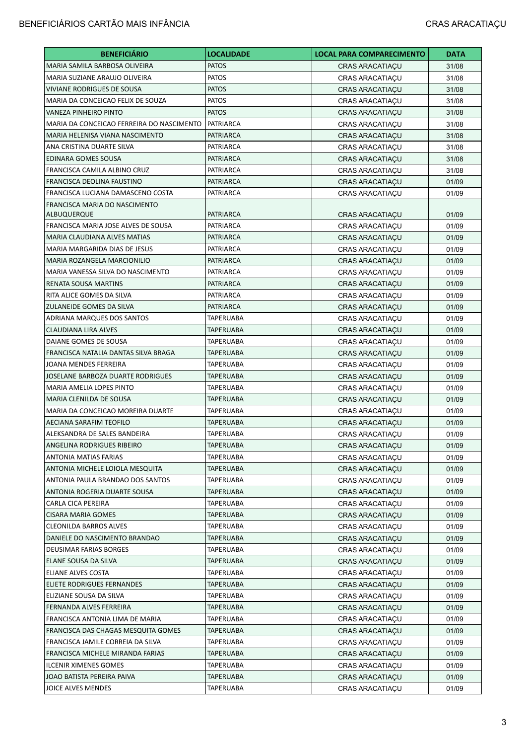| <b>BENEFICIÁRIO</b>                       | <b>LOCALIDADE</b> | <b>LOCAL PARA COMPARECIMENTO</b> | <b>DATA</b> |
|-------------------------------------------|-------------------|----------------------------------|-------------|
| MARIA SAMILA BARBOSA OLIVEIRA             | <b>PATOS</b>      | <b>CRAS ARACATIAÇU</b>           | 31/08       |
| MARIA SUZIANE ARAUJO OLIVEIRA             | <b>PATOS</b>      | CRAS ARACATIAÇU                  | 31/08       |
| VIVIANE RODRIGUES DE SOUSA                | <b>PATOS</b>      | <b>CRAS ARACATIAÇU</b>           | 31/08       |
| MARIA DA CONCEICAO FELIX DE SOUZA         | <b>PATOS</b>      | <b>CRAS ARACATIACU</b>           | 31/08       |
| <b>VANEZA PINHEIRO PINTO</b>              | <b>PATOS</b>      | <b>CRAS ARACATIACU</b>           | 31/08       |
| MARIA DA CONCEICAO FERREIRA DO NASCIMENTO | PATRIARCA         | <b>CRAS ARACATIAÇU</b>           | 31/08       |
| MARIA HELENISA VIANA NASCIMENTO           | PATRIARCA         | <b>CRAS ARACATIAÇU</b>           | 31/08       |
| ANA CRISTINA DUARTE SILVA                 | PATRIARCA         | <b>CRAS ARACATIAÇU</b>           | 31/08       |
| EDINARA GOMES SOUSA                       | PATRIARCA         | <b>CRAS ARACATIAÇU</b>           | 31/08       |
| FRANCISCA CAMILA ALBINO CRUZ              | PATRIARCA         | <b>CRAS ARACATIAÇU</b>           | 31/08       |
| FRANCISCA DEOLINA FAUSTINO                | PATRIARCA         | <b>CRAS ARACATIAÇU</b>           | 01/09       |
| FRANCISCA LUCIANA DAMASCENO COSTA         | PATRIARCA         | <b>CRAS ARACATIAÇU</b>           | 01/09       |
| FRANCISCA MARIA DO NASCIMENTO             |                   |                                  |             |
| ALBUQUERQUE                               | PATRIARCA         | <b>CRAS ARACATIAÇU</b>           | 01/09       |
| FRANCISCA MARIA JOSE ALVES DE SOUSA       | <b>PATRIARCA</b>  | <b>CRAS ARACATIACU</b>           | 01/09       |
| <b>MARIA CLAUDIANA ALVES MATIAS</b>       | <b>PATRIARCA</b>  | <b>CRAS ARACATIAÇU</b>           | 01/09       |
| MARIA MARGARIDA DIAS DE JESUS             | PATRIARCA         | <b>CRAS ARACATIACU</b>           | 01/09       |
| MARIA ROZANGELA MARCIONILIO               | PATRIARCA         | <b>CRAS ARACATIACU</b>           | 01/09       |
| MARIA VANESSA SILVA DO NASCIMENTO         | PATRIARCA         | <b>CRAS ARACATIACU</b>           | 01/09       |
| RENATA SOUSA MARTINS                      | <b>PATRIARCA</b>  | <b>CRAS ARACATIAÇU</b>           | 01/09       |
| RITA ALICE GOMES DA SILVA                 | PATRIARCA         | <b>CRAS ARACATIAÇU</b>           | 01/09       |
| ZULANEIDE GOMES DA SILVA                  | PATRIARCA         | <b>CRAS ARACATIAÇU</b>           | 01/09       |
| ADRIANA MARQUES DOS SANTOS                | <b>TAPERUABA</b>  | <b>CRAS ARACATIAÇU</b>           | 01/09       |
| CLAUDIANA LIRA ALVES                      | <b>TAPERUABA</b>  | <b>CRAS ARACATIAÇU</b>           | 01/09       |
| DAIANE GOMES DE SOUSA                     | <b>TAPERUABA</b>  | <b>CRAS ARACATIAÇU</b>           | 01/09       |
| FRANCISCA NATALIA DANTAS SILVA BRAGA      | <b>TAPERUABA</b>  | <b>CRAS ARACATIAÇU</b>           | 01/09       |
| JOANA MENDES FERREIRA                     | <b>TAPERUABA</b>  | <b>CRAS ARACATIAÇU</b>           | 01/09       |
| JOSELANE BARBOZA DUARTE RODRIGUES         | TAPERUABA         | <b>CRAS ARACATIAÇU</b>           | 01/09       |
| MARIA AMELIA LOPES PINTO                  | TAPERUABA         | <b>CRAS ARACATIAÇU</b>           | 01/09       |
| MARIA CLENILDA DE SOUSA                   | <b>TAPERUABA</b>  | <b>CRAS ARACATIAÇU</b>           | 01/09       |
| MARIA DA CONCEICAO MOREIRA DUARTE         | <b>TAPERUABA</b>  | <b>CRAS ARACATIAÇU</b>           | 01/09       |
| AECIANA SARAFIM TEOFILO                   | <b>TAPERUABA</b>  | <b>CRAS ARACATIACU</b>           | 01/09       |
| ALEKSANDRA DE SALES BANDEIRA              | <b>TAPERUABA</b>  | <b>CRAS ARACATIAÇU</b>           | 01/09       |
| ANGELINA RODRIGUES RIBEIRO                | <b>TAPERUABA</b>  | <b>CRAS ARACATIAÇU</b>           | 01/09       |
| ANTONIA MATIAS FARIAS                     | TAPERUABA         | <b>CRAS ARACATIAÇU</b>           | 01/09       |
| ANTONIA MICHELE LOIOLA MESQUITA           | <b>TAPERUABA</b>  | <b>CRAS ARACATIAÇU</b>           | 01/09       |
| ANTONIA PAULA BRANDAO DOS SANTOS          | <b>TAPERUABA</b>  | <b>CRAS ARACATIAÇU</b>           | 01/09       |
| ANTONIA ROGERIA DUARTE SOUSA              | <b>TAPERUABA</b>  | <b>CRAS ARACATIAÇU</b>           | 01/09       |
| CARLA CICA PEREIRA                        | TAPERUABA         | <b>CRAS ARACATIAÇU</b>           | 01/09       |
| <b>CISARA MARIA GOMES</b>                 | TAPERUABA         | <b>CRAS ARACATIACU</b>           | 01/09       |
| <b>CLEONILDA BARROS ALVES</b>             | TAPERUABA         | <b>CRAS ARACATIACU</b>           | 01/09       |
| DANIELE DO NASCIMENTO BRANDAO             | <b>TAPERUABA</b>  | <b>CRAS ARACATIAÇU</b>           | 01/09       |
| DEUSIMAR FARIAS BORGES                    | TAPERUABA         | CRAS ARACATIAÇU                  | 01/09       |
| ELANE SOUSA DA SILVA                      | TAPERUABA         | CRAS ARACATIAÇU                  | 01/09       |
| ELIANE ALVES COSTA                        | <b>TAPERUABA</b>  | <b>CRAS ARACATIAÇU</b>           | 01/09       |
| ELIETE RODRIGUES FERNANDES                | TAPERUABA         | CRAS ARACATIAÇU                  | 01/09       |
| ELIZIANE SOUSA DA SILVA                   | <b>TAPERUABA</b>  | <b>CRAS ARACATIAÇU</b>           | 01/09       |
| FERNANDA ALVES FERREIRA                   | <b>TAPERUABA</b>  | <b>CRAS ARACATIAÇU</b>           | 01/09       |
| FRANCISCA ANTONIA LIMA DE MARIA           | <b>TAPERUABA</b>  | <b>CRAS ARACATIAÇU</b>           | 01/09       |
| FRANCISCA DAS CHAGAS MESQUITA GOMES       | TAPERUABA         | <b>CRAS ARACATIAÇU</b>           | 01/09       |
| FRANCISCA JAMILE CORREIA DA SILVA         | TAPERUABA         | CRAS ARACATIAÇU                  | 01/09       |
| FRANCISCA MICHELE MIRANDA FARIAS          | TAPERUABA         | CRAS ARACATIAÇU                  | 01/09       |
| <b>ILCENIR XIMENES GOMES</b>              | <b>TAPERUABA</b>  | <b>CRAS ARACATIAÇU</b>           | 01/09       |
| JOAO BATISTA PEREIRA PAIVA                | <b>TAPERUABA</b>  | CRAS ARACATIAÇU                  | 01/09       |
| JOICE ALVES MENDES                        | <b>TAPERUABA</b>  | CRAS ARACATIAÇU                  | 01/09       |